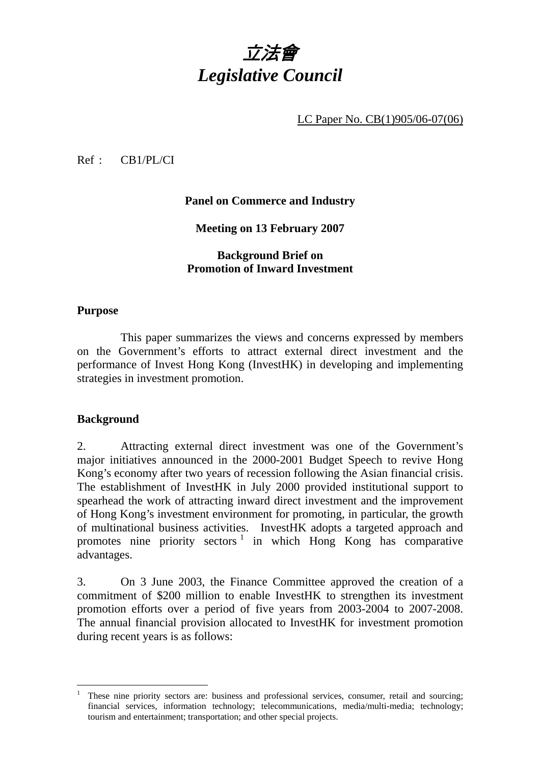

LC Paper No. CB(1)905/06-07(06)

Ref : CB1/PL/CI

**Panel on Commerce and Industry** 

**Meeting on 13 February 2007** 

**Background Brief on Promotion of Inward Investment** 

### **Purpose**

This paper summarizes the views and concerns expressed by members on the Government's efforts to attract external direct investment and the performance of Invest Hong Kong (InvestHK) in developing and implementing strategies in investment promotion.

### **Background**

 $\overline{a}$ 

2. Attracting external direct investment was one of the Government's major initiatives announced in the 2000-2001 Budget Speech to revive Hong Kong's economy after two years of recession following the Asian financial crisis. The establishment of InvestHK in July 2000 provided institutional support to spearhead the work of attracting inward direct investment and the improvement of Hong Kong's investment environment for promoting, in particular, the growth of multinational business activities. InvestHK adopts a targeted approach and promotes nine priority sectors<sup>1</sup> in which Hong Kong has comparative advantages.

3. On 3 June 2003, the Finance Committee approved the creation of a commitment of \$200 million to enable InvestHK to strengthen its investment promotion efforts over a period of five years from 2003-2004 to 2007-2008. The annual financial provision allocated to InvestHK for investment promotion during recent years is as follows:

<sup>1</sup> These nine priority sectors are: business and professional services, consumer, retail and sourcing; financial services, information technology; telecommunications, media/multi-media; technology; tourism and entertainment; transportation; and other special projects.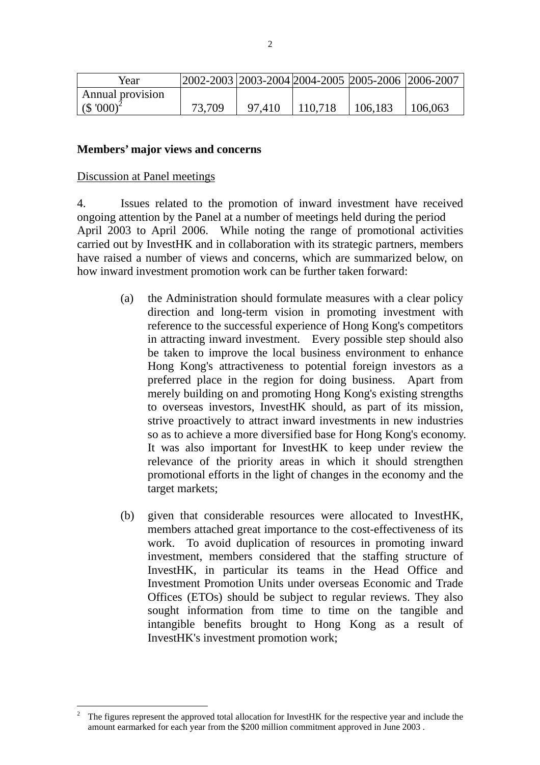| Year                      |        | 2002-2003   2003-2004   2004-2005   2005-2006   2006-2007 |         |         |         |
|---------------------------|--------|-----------------------------------------------------------|---------|---------|---------|
| Annual provision          |        |                                                           |         |         |         |
| $($ \$ '000) <sup>2</sup> | 73,709 | 97.410                                                    | 110.718 | 106,183 | 106,063 |

#### **Members' major views and concerns**

#### Discussion at Panel meetings

 $\overline{a}$ 

4. Issues related to the promotion of inward investment have received ongoing attention by the Panel at a number of meetings held during the period April 2003 to April 2006. While noting the range of promotional activities carried out by InvestHK and in collaboration with its strategic partners, members have raised a number of views and concerns, which are summarized below, on how inward investment promotion work can be further taken forward:

- (a) the Administration should formulate measures with a clear policy direction and long-term vision in promoting investment with reference to the successful experience of Hong Kong's competitors in attracting inward investment. Every possible step should also be taken to improve the local business environment to enhance Hong Kong's attractiveness to potential foreign investors as a preferred place in the region for doing business. Apart from merely building on and promoting Hong Kong's existing strengths to overseas investors, InvestHK should, as part of its mission, strive proactively to attract inward investments in new industries so as to achieve a more diversified base for Hong Kong's economy. It was also important for InvestHK to keep under review the relevance of the priority areas in which it should strengthen promotional efforts in the light of changes in the economy and the target markets;
- (b) given that considerable resources were allocated to InvestHK, members attached great importance to the cost-effectiveness of its work. To avoid duplication of resources in promoting inward investment, members considered that the staffing structure of InvestHK, in particular its teams in the Head Office and Investment Promotion Units under overseas Economic and Trade Offices (ETOs) should be subject to regular reviews. They also sought information from time to time on the tangible and intangible benefits brought to Hong Kong as a result of InvestHK's investment promotion work;

<sup>2</sup> The figures represent the approved total allocation for InvestHK for the respective year and include the amount earmarked for each year from the \$200 million commitment approved in June 2003 .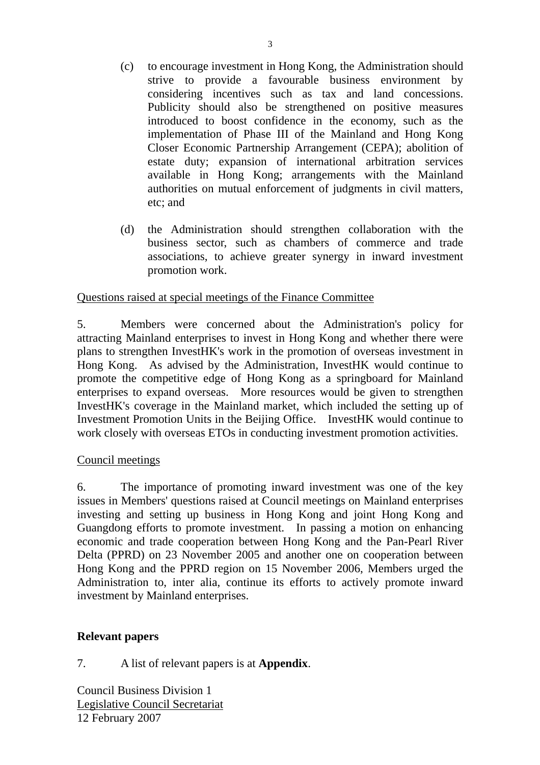- (c) to encourage investment in Hong Kong, the Administration should strive to provide a favourable business environment by considering incentives such as tax and land concessions. Publicity should also be strengthened on positive measures introduced to boost confidence in the economy, such as the implementation of Phase III of the Mainland and Hong Kong Closer Economic Partnership Arrangement (CEPA); abolition of estate duty; expansion of international arbitration services available in Hong Kong; arrangements with the Mainland authorities on mutual enforcement of judgments in civil matters, etc; and
- (d) the Administration should strengthen collaboration with the business sector, such as chambers of commerce and trade associations, to achieve greater synergy in inward investment promotion work.

## Questions raised at special meetings of the Finance Committee

5. Members were concerned about the Administration's policy for attracting Mainland enterprises to invest in Hong Kong and whether there were plans to strengthen InvestHK's work in the promotion of overseas investment in Hong Kong. As advised by the Administration, InvestHK would continue to promote the competitive edge of Hong Kong as a springboard for Mainland enterprises to expand overseas. More resources would be given to strengthen InvestHK's coverage in the Mainland market, which included the setting up of Investment Promotion Units in the Beijing Office. InvestHK would continue to work closely with overseas ETOs in conducting investment promotion activities.

## Council meetings

6. The importance of promoting inward investment was one of the key issues in Members' questions raised at Council meetings on Mainland enterprises investing and setting up business in Hong Kong and joint Hong Kong and Guangdong efforts to promote investment. In passing a motion on enhancing economic and trade cooperation between Hong Kong and the Pan-Pearl River Delta (PPRD) on 23 November 2005 and another one on cooperation between Hong Kong and the PPRD region on 15 November 2006, Members urged the Administration to, inter alia, continue its efforts to actively promote inward investment by Mainland enterprises.

## **Relevant papers**

7. A list of relevant papers is at **Appendix**.

Council Business Division 1 Legislative Council Secretariat 12 February 2007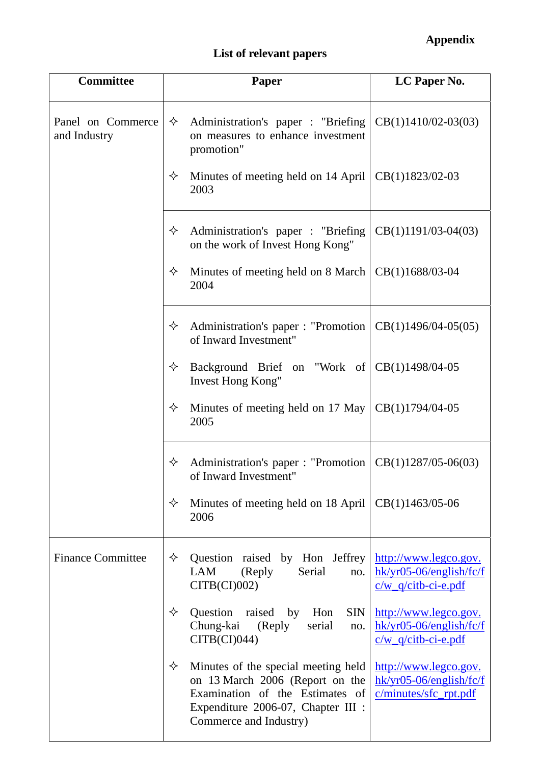# **List of relevant papers**

| <b>Committee</b>                  | <b>Paper</b>                                                                                                                                                                   | LC Paper No.                                                                |
|-----------------------------------|--------------------------------------------------------------------------------------------------------------------------------------------------------------------------------|-----------------------------------------------------------------------------|
| Panel on Commerce<br>and Industry | ✧<br>Administration's paper : "Briefing<br>on measures to enhance investment<br>promotion"                                                                                     | $CB(1)1410/02-03(03)$                                                       |
|                                   | ✧<br>Minutes of meeting held on 14 April<br>2003                                                                                                                               | CB(1)1823/02-03                                                             |
|                                   | ✧<br>Administration's paper : "Briefing<br>on the work of Invest Hong Kong"                                                                                                    | $CB(1)1191/03-04(03)$                                                       |
|                                   | Minutes of meeting held on 8 March<br>✧<br>2004                                                                                                                                | CB(1)1688/03-04                                                             |
|                                   | Administration's paper : "Promotion<br>✧<br>of Inward Investment"                                                                                                              | $CB(1)1496/04-05(05)$                                                       |
|                                   | Background Brief on "Work of<br>✧<br><b>Invest Hong Kong"</b>                                                                                                                  | CB(1)1498/04-05                                                             |
|                                   | Minutes of meeting held on 17 May<br>✧<br>2005                                                                                                                                 | CB(1)1794/04-05                                                             |
|                                   | Administration's paper: "Promotion<br>✧<br>of Inward Investment"                                                                                                               | $CB(1)1287/05-06(03)$                                                       |
|                                   | Minutes of meeting held on 18 April<br>✧<br>2006                                                                                                                               | $CB(1)1463/05-06$                                                           |
| <b>Finance Committee</b>          | Question raised by Hon Jeffrey<br>✧<br>LAM<br>Serial<br>(Reply<br>no.<br>CITB(CI)002                                                                                           | http://www.legco.gov.<br>$hk/yr05-06/english/fc/f$<br>$c/w$ q/citb-ci-e.pdf |
|                                   | ✧<br>Question<br>raised<br>by<br><b>SIN</b><br>Hon<br>Chung-kai<br>(Reply<br>serial<br>no.<br>CITB(CI)044                                                                      | http://www.legco.gov.<br>$hk/yr05-06/english/fc/f$<br>$c/w$ q/citb-ci-e.pdf |
|                                   | Minutes of the special meeting held<br>✧<br>on 13 March 2006 (Report on the<br>Examination of the Estimates of<br>Expenditure 2006-07, Chapter III :<br>Commerce and Industry) | http://www.legco.gov.<br>$hk/yr05-06/english/fc/f$<br>c/minutes/sfc_rpt.pdf |